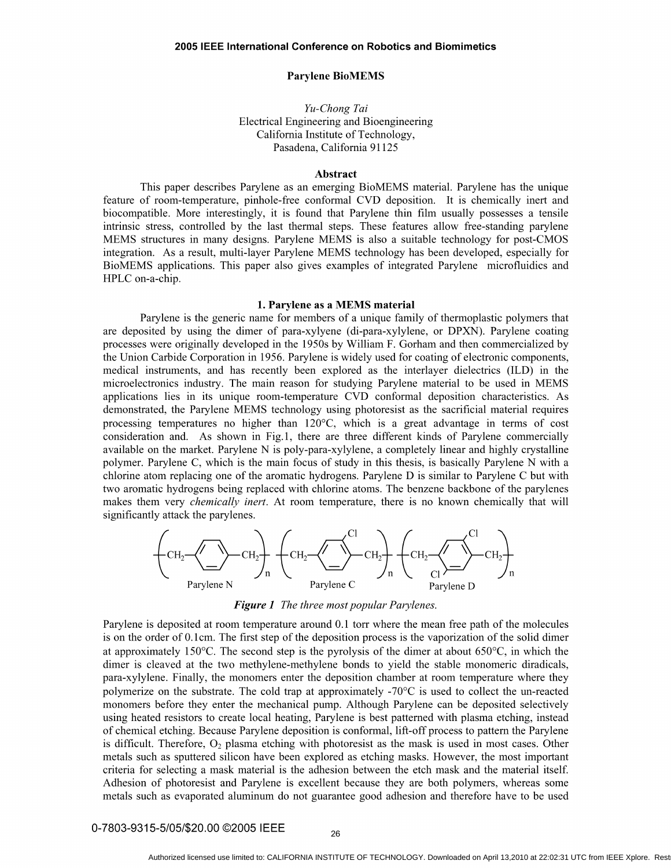## Parylene BioMEMS

# *Yu-Chong Tai*  Electrical Engineering and Bioengineering California Institute of Technology, Pasadena, California 91125

## Abstract

This paper describes Parylene as an emerging BioMEMS material. Parylene has the unique feature of room-temperature, pinhole-free conformal CVD deposition. It is chemically inert and biocompatible. More interestingly, it is found that Parylene thin film usually possesses a tensile intrinsic stress, controlled by the last thermal steps. These features allow free-standing parylene MEMS structures in many designs. Parylene MEMS is also a suitable technology for post-CMOS integration. As a result, multi-layer Parylene MEMS technology has been developed, especially for BioMEMS applications. This paper also gives examples of integrated Parylene microfluidics and HPLC on-a-chip.

## 1. Parylene as a MEMS material

Parylene is the generic name for members of a unique family of thermoplastic polymers that are deposited by using the dimer of para-xylyene (di-para-xylylene, or DPXN). Parylene coating processes were originally developed in the 1950s by William F. Gorham and then commercialized by the Union Carbide Corporation in 1956. Parylene is widely used for coating of electronic components, medical instruments, and has recently been explored as the interlayer dielectrics (ILD) in the microelectronics industry. The main reason for studying Parylene material to be used in MEMS applications lies in its unique room-temperature CVD conformal deposition characteristics. As demonstrated, the Parylene MEMS technology using photoresist as the sacrificial material requires processing temperatures no higher than 120°C, which is a great advantage in terms of cost consideration and. As shown in Fig.l, there are three different kinds of Parylene commercially available on the market. Parylene N is poly-para-xylylene, a completely linear and highly crystalline polymer. Parylene C, which is the main focus of study in this thesis, is basically Parylene N with a chlorine atom replacing one of the aromatic hydrogens. Parylene D is similar to Parylene C but with two aromatic hydrogens being replaced with chlorine atoms. The benzene backbone of the parylenes makes them very *chemically inert.* At room temperature, there is no known chemically that will significantly attack the parylenes.



*Figure* 1 *The three most popular Parylenes.* 

Parylene is deposited at room temperature around 0.1 torr where the mean free path of the molecules is on the order of 0.1 cm. The first step of the deposition process is the vaporization of the solid dimer at approximately 150 $^{\circ}$ C. The second step is the pyrolysis of the dimer at about 650 $^{\circ}$ C, in which the dimer is cleaved at the two methylene-methylene bonds to yield the stable monomeric diradicals, para-xylylene. Finally, the monomers enter the deposition chamber at room temperature where they polymerize on the substrate. The cold trap at approximately -70 $\degree$ C is used to collect the un-reacted monomers before they enter the mechanical pump. Although Parylene can be deposited selectively using heated resistors to create local heating, Parylene is best patterned with plasma etching, instead of chemical etching. Because Parylene deposition is conformal, lift-off process to pattern the Parylene is difficult. Therefore,  $O_2$  plasma etching with photoresist as the mask is used in most cases. Other metals such as sputtered silicon have been explored as etching masks. However, the most important criteria for selecting a mask material is the adhesion between the etch mask and the material itself. Adhesion of photoresist and Parylene is excellent because they are both polymers, whereas some metals such as evaporated aluminum do not guarantee good adhesion and therefore have to be used

0-7803-9315-5/05/\$20.00 ©2005 IEEE 26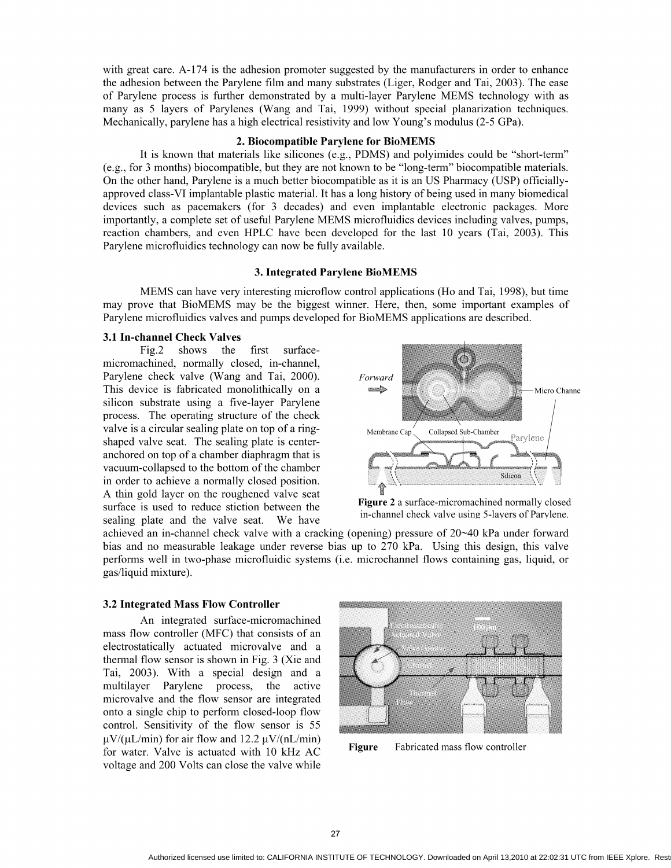with great care. A-174 is the adhesion promoter suggested by the manufacturers in order to enhance the adhesion between the Parylene film and many substrates (Liger, Rodger and Tai, 2003). The ease of Parylene process is further demonstrated by a multi-layer Parylene MEMS technology with as many as 5 layers of Parylenes (Wang and Tai, 1999) without special planarization techniques. Mechanically, parylene has a high electrical resistivity and low Young's modulus (2-5 GPa).

#### 2. Biocompatible Parylene for BioMEMS

It is known that materials like silicones (e.g., PDMS) and polyimides could be "short-term" (e.g., for 3 months) biocompatible, but they are not known to be "long-term" biocompatible materials. On the other hand, Parylene is a much better biocompatible as it is an US Pharmacy (USP) officiallyapproved class-VI implantable plastic material. It has a long history of being used in many biomedical devices such as pacemakers (for 3 decades) and even implantable electronic packages. More importantly, a complete set of useful Parylene MEMS micro fluidics devices including valves, pumps, reaction chambers, and even HPLC have been developed for the last 10 years (Tai, 2003). This Parylene microfluidics technology can now be fully available.

#### 3. Integrated Parylene BioMEMS

MEMS can have very interesting microflow control applications (Ho and Tai, 1998), but time may prove that BioMEMS may be the biggest winner. Here, then, some important examples of Parylene microfluidics valves and pumps developed for BioMEMS applications are described.

## 3.1 In-channel Check Valves

Fig.2 shows the first surfacemicromachined, normally closed, in-channel, Parylene check valve (Wang and Tai, 2000). This device is fabricated monolithically on a silicon substrate using a five-layer Parylene process. The operating structure of the check valve is a circular sealing plate on top of a ringshaped valve seat. The sealing plate is centeranchored on top of a chamber diaphragm that is vacuum-collapsed to the bottom of the chamber in order to achieve a normally closed position. A thin gold layer on the roughened valve seat surface is used to reduce stiction between the sealing plate and the valve seat. We have



Figure 2 a surface-micromachined normally closed in-channel check valve using 5-layers of Parylene.

achieved an in-channel check valve with a cracking (opening) pressure of  $20~\text{40}$  kPa under forward bias and no measurable leakage under reverse bias up to 270 kPa. Using this design, this valve performs well in two-phase microfluidic systems (i.e. microchannel flows containing gas, liquid, or gas/liquid mixture).

#### 3.2 Integrated Mass Flow Controller

An integrated surface-micromachined mass flow controller (MFC) that consists of an electrostatically actuated microvalve and a thermal flow sensor is shown in Fig. 3 (Xie and Tai, 2003). With a special design and a multilayer Parylene process, the active microvalve and the flow sensor are integrated onto a single chip to perform closed-loop flow control. Sensitivity of the flow sensor is 55  $\mu$ V/( $\mu$ L/min) for air flow and 12.2  $\mu$ V/(nL/min) for water. Valve is actuated with 10 kHz AC voltage and 200 Volts can close the valve while



Figure Fabricated mass flow controller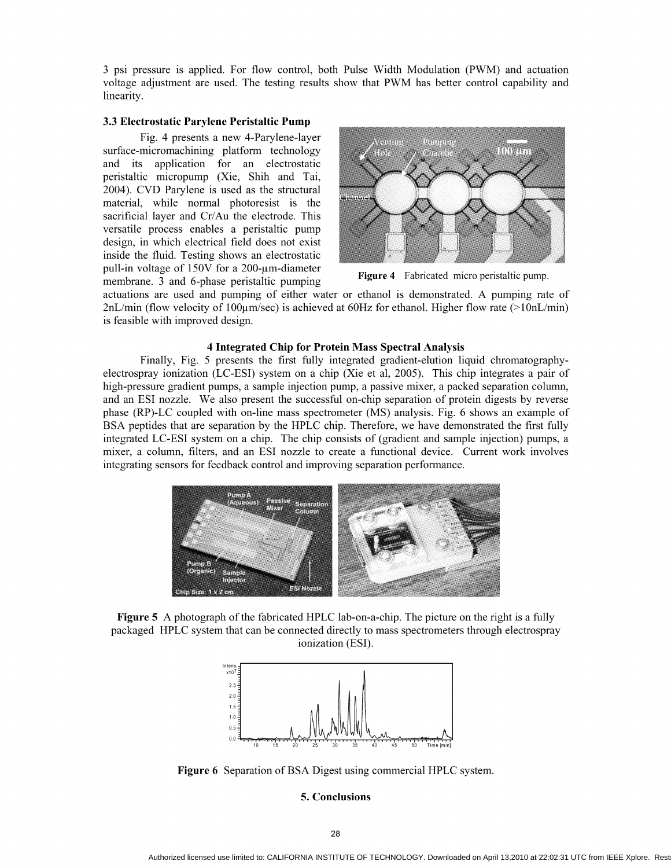3 psi pressure is applied. For flow control, both Pulse Width Modulation (PWM) and actuation voltage adjustment are used. The testing results show that PWM has better control capability and linearity.

## 3.3 Electrostatic Parylene Peristaltic Pump

Fig. 4 presents a new 4-Parylene-Iayer surface-micromachining platform technology and its application for an electrostatic peristaltic micropump (Xie, Shih and Tai, 2004). CVD Parylene is used as the structural material, while normal photoresist is the sacrificial layer and Cr/Au the electrode. This versatile process enables a peristaltic pump design, in which electrical field does not exist inside the fluid. Testing shows an electrostatic pull-in voltage of 150V for a 200-µm-diameter pair in voltage of 150 v for a 260 fm diameter<br>membrane. 3 and 6-phase peristaltic pumping Figure 4 Fabricated micro peristaltic pump.



actuations are used and pumping of either water or ethanol is demonstrated. A pumping rate of  $2nL/min$  (flow velocity of  $100\mu m/sec$ ) is achieved at 60Hz for ethanol. Higher flow rate (> $10nL/min$ ) is feasible with improved design.

#### 4 Integrated Chip for Protein Mass Spectral Analysis

Finally, Fig. 5 presents the first fully integrated gradient-elution liquid chromatographyelectrospray ionization (LC-ESI) system on a chip (Xie et aI, 2005). This chip integrates a pair of high-pressure gradient pumps, a sample injection pump, a passive mixer, a packed separation column, and an ESI nozzle. We also present the successful on-chip separation of protein digests by reverse phase (RP)-LC coupled with on-line mass spectrometer (MS) analysis. Fig. 6 shows an example of BSA peptides that are separation by the HPLC chip. Therefore, we have demonstrated the first fully integrated LC-ESI system on a chip. The chip consists of (gradient and sample injection) pumps, a mixer, a column, filters, and an ESI nozzle to create a functional device. Current work involves integrating sensors for feedback control and improving separation performance.



Figure 5 A photograph of the fabricated HPLC lab-on-a-chip. The picture on the right is a fully packaged HPLC system that can be connected directly to mass spectrometers through electrospray ionization (ESI).



Figure 6 Separation of BSA Digest using commercial HPLC system.

## 5. Conclusions